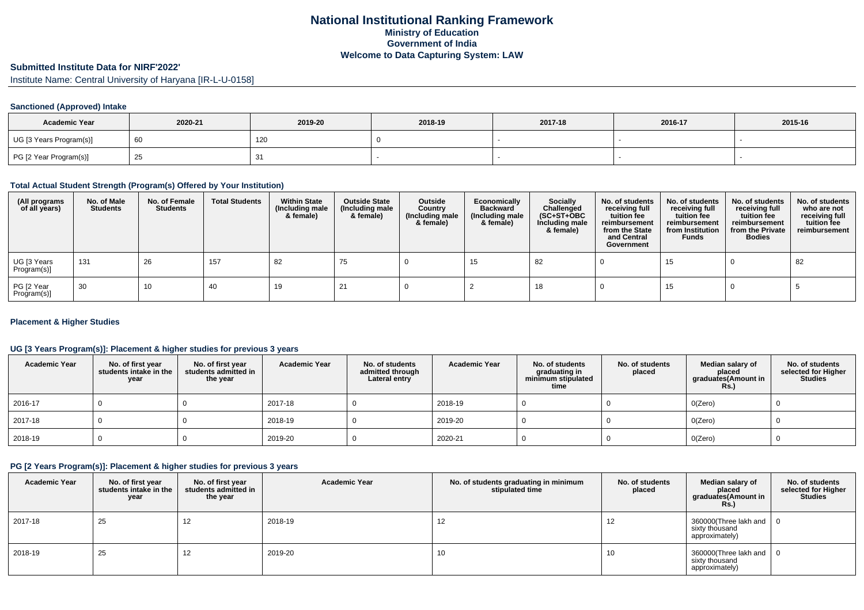# **Submitted Institute Data for NIRF'2022'**

Institute Name: Central University of Haryana [IR-L-U-0158]

## **Sanctioned (Approved) Intake**

| <b>Academic Year</b>    | 2020-21 | 2019-20 | 2018-19 | 2017-18 | 2016-17 | 2015-16 |
|-------------------------|---------|---------|---------|---------|---------|---------|
| UG [3 Years Program(s)] |         | 120     |         |         |         |         |
| PG [2 Year Program(s)]  |         |         |         |         |         |         |

#### **Total Actual Student Strength (Program(s) Offered by Your Institution)**

| (All programs<br>of all years) | No. of Male<br><b>Students</b> | No. of Female<br><b>Students</b> | <b>Total Students</b> | <b>Within State</b><br>(Including male<br>& female) | <b>Outside State</b><br>(Including male<br>& female) | Outside<br>Country<br>(Including male<br>& female) | Economically<br><b>Backward</b><br>(Including male<br>& female) | <b>Socially</b><br>Challenged<br>$(SC+ST+OBC)$<br>Including male<br>& female) | No. of students<br>receiving full<br>tuition fee<br>reimbursement<br>from the State<br>and Central<br>Government | No. of students<br>receiving full<br>tuition fee<br>reimbursement<br>from Institution<br><b>Funds</b> | No. of students<br>receiving full<br>tuition fee<br>reimbursement<br>from the Private<br><b>Bodies</b> | No. of students<br>who are not<br>receiving full<br>tuition fee<br>reimbursement |
|--------------------------------|--------------------------------|----------------------------------|-----------------------|-----------------------------------------------------|------------------------------------------------------|----------------------------------------------------|-----------------------------------------------------------------|-------------------------------------------------------------------------------|------------------------------------------------------------------------------------------------------------------|-------------------------------------------------------------------------------------------------------|--------------------------------------------------------------------------------------------------------|----------------------------------------------------------------------------------|
| UG [3 Years<br>Program(s)]     | 131                            | 26                               | 157                   | 82                                                  | 75                                                   |                                                    | 15                                                              | 82                                                                            |                                                                                                                  | 15                                                                                                    |                                                                                                        | 82                                                                               |
| PG [2 Year<br>Program(s)]      | 30                             | 10                               | 40                    | 19                                                  | 21                                                   |                                                    |                                                                 | 18                                                                            |                                                                                                                  | 15                                                                                                    |                                                                                                        |                                                                                  |

## **Placement & Higher Studies**

## **UG [3 Years Program(s)]: Placement & higher studies for previous 3 years**

| <b>Academic Year</b> | No. of first year<br>students intake in the<br>year | No. of first year<br>students admitted in<br>the year | <b>Academic Year</b> | No. of students<br>admitted through<br>Lateral entry | <b>Academic Year</b> | No. of students<br>graduating in<br>minimum stipulated<br>time | No. of students<br>placed | Median salary of<br>placed<br>graduates(Amount in<br><b>Rs.)</b> | No. of students<br>selected for Higher<br><b>Studies</b> |
|----------------------|-----------------------------------------------------|-------------------------------------------------------|----------------------|------------------------------------------------------|----------------------|----------------------------------------------------------------|---------------------------|------------------------------------------------------------------|----------------------------------------------------------|
| 2016-17              |                                                     |                                                       | 2017-18              |                                                      | 2018-19              |                                                                |                           | O(Zero)                                                          |                                                          |
| 2017-18              |                                                     |                                                       | 2018-19              |                                                      | 2019-20              |                                                                |                           | O(Zero)                                                          |                                                          |
| 2018-19              |                                                     |                                                       | 2019-20              |                                                      | 2020-21              |                                                                |                           | O(Zero)                                                          |                                                          |

## **PG [2 Years Program(s)]: Placement & higher studies for previous 3 years**

| <b>Academic Year</b> | No. of first year<br>students intake in the<br>year | No. of first year<br>students admitted in<br>the year | <b>Academic Year</b> | No. of students graduating in minimum<br>stipulated time | No. of students<br>placed | Median salary of<br>placed<br>graduates(Amount in<br>Rs.  | No. of students<br>selected for Higher<br><b>Studies</b> |
|----------------------|-----------------------------------------------------|-------------------------------------------------------|----------------------|----------------------------------------------------------|---------------------------|-----------------------------------------------------------|----------------------------------------------------------|
| 2017-18              | 25                                                  | 12                                                    | 2018-19              | 12                                                       | 12                        | 360000(Three lakh and<br>sixty thousand<br>approximately) |                                                          |
| 2018-19              | 25                                                  | 12                                                    | 2019-20              | 10                                                       | 10                        | 360000(Three lakh and<br>sixty thousand<br>approximately) |                                                          |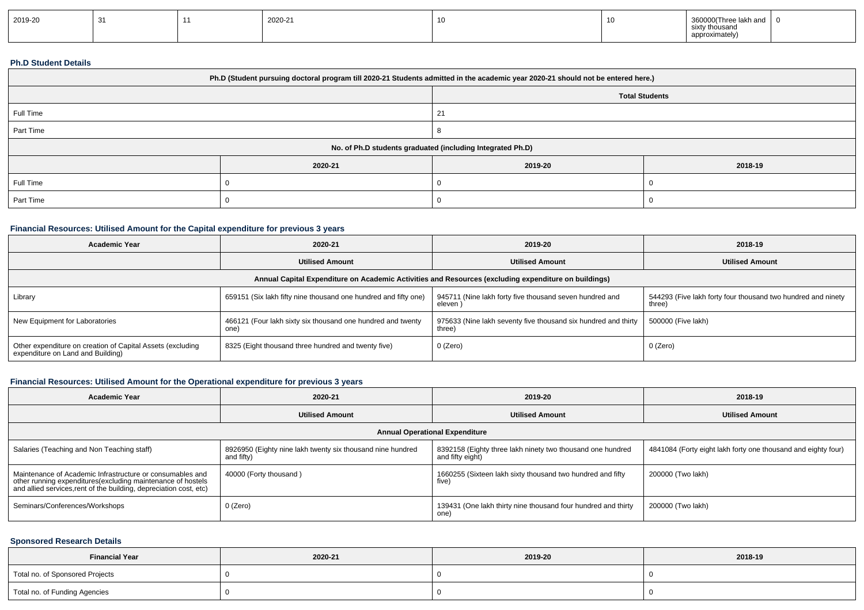| 2019-20 |  |  | 2020-21 |  |  | 3600.<br>)00(Three lakh and<br>r thousand<br>approximately |  |
|---------|--|--|---------|--|--|------------------------------------------------------------|--|
|---------|--|--|---------|--|--|------------------------------------------------------------|--|

#### **Ph.D Student Details**

| Ph.D (Student pursuing doctoral program till 2020-21 Students admitted in the academic year 2020-21 should not be entered here.) |         |                                                            |         |  |  |  |
|----------------------------------------------------------------------------------------------------------------------------------|---------|------------------------------------------------------------|---------|--|--|--|
|                                                                                                                                  |         | <b>Total Students</b>                                      |         |  |  |  |
| Full Time                                                                                                                        |         |                                                            |         |  |  |  |
| Part Time                                                                                                                        |         |                                                            |         |  |  |  |
|                                                                                                                                  |         | No. of Ph.D students graduated (including Integrated Ph.D) |         |  |  |  |
|                                                                                                                                  | 2020-21 | 2019-20                                                    | 2018-19 |  |  |  |
| Full Time                                                                                                                        |         |                                                            |         |  |  |  |
| Part Time                                                                                                                        |         |                                                            |         |  |  |  |

# **Financial Resources: Utilised Amount for the Capital expenditure for previous 3 years**

| <b>Academic Year</b>                                                                                 | 2020-21                                                             | 2019-20                                                                  | 2018-19                                                                |  |  |  |  |
|------------------------------------------------------------------------------------------------------|---------------------------------------------------------------------|--------------------------------------------------------------------------|------------------------------------------------------------------------|--|--|--|--|
|                                                                                                      | <b>Utilised Amount</b>                                              | <b>Utilised Amount</b>                                                   | <b>Utilised Amount</b>                                                 |  |  |  |  |
| Annual Capital Expenditure on Academic Activities and Resources (excluding expenditure on buildings) |                                                                     |                                                                          |                                                                        |  |  |  |  |
| Library                                                                                              | 659151 (Six lakh fifty nine thousand one hundred and fifty one)     | 945711 (Nine lakh forty five thousand seven hundred and<br>eleven)       | 544293 (Five lakh forty four thousand two hundred and ninety<br>three) |  |  |  |  |
| New Equipment for Laboratories                                                                       | 466121 (Four lakh sixty six thousand one hundred and twenty<br>one) | 975633 (Nine lakh seventy five thousand six hundred and thirty<br>three) | 500000 (Five lakh)                                                     |  |  |  |  |
| Other expenditure on creation of Capital Assets (excluding<br>expenditure on Land and Building)      | 8325 (Eight thousand three hundred and twenty five)                 | 0 (Zero)                                                                 | 0 (Zero)                                                               |  |  |  |  |

# **Financial Resources: Utilised Amount for the Operational expenditure for previous 3 years**

| Academic Year                                                                                                                                                                                   | 2020-21                                                                  | 2019-20                                                                        | 2018-19                                                       |  |  |  |  |
|-------------------------------------------------------------------------------------------------------------------------------------------------------------------------------------------------|--------------------------------------------------------------------------|--------------------------------------------------------------------------------|---------------------------------------------------------------|--|--|--|--|
|                                                                                                                                                                                                 | <b>Utilised Amount</b>                                                   | <b>Utilised Amount</b>                                                         | <b>Utilised Amount</b>                                        |  |  |  |  |
| <b>Annual Operational Expenditure</b>                                                                                                                                                           |                                                                          |                                                                                |                                                               |  |  |  |  |
| Salaries (Teaching and Non Teaching staff)                                                                                                                                                      | 8926950 (Eighty nine lakh twenty six thousand nine hundred<br>and fifty) | 8392158 (Eighty three lakh ninety two thousand one hundred<br>and fifty eight) | 4841084 (Forty eight lakh forty one thousand and eighty four) |  |  |  |  |
| Maintenance of Academic Infrastructure or consumables and<br>other running expenditures (excluding maintenance of hostels<br>and allied services, rent of the building, depreciation cost, etc) | 40000 (Forty thousand)                                                   | 1660255 (Sixteen lakh sixty thousand two hundred and fifty<br>five)            | 200000 (Two lakh)                                             |  |  |  |  |
| Seminars/Conferences/Workshops                                                                                                                                                                  | 0 (Zero)                                                                 | 139431 (One lakh thirty nine thousand four hundred and thirty<br>one)          | 200000 (Two lakh)                                             |  |  |  |  |

## **Sponsored Research Details**

| <b>Financial Year</b>           | 2020-21 | 2019-20 | 2018-19 |
|---------------------------------|---------|---------|---------|
| Total no. of Sponsored Projects |         |         |         |
| Total no. of Funding Agencies   |         |         |         |